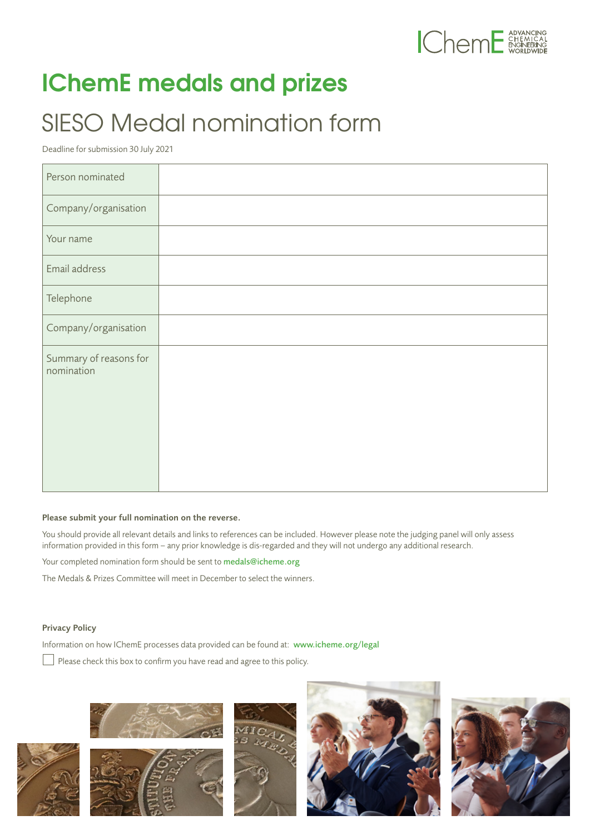

## **IChemE medals and prizes**

## SIESO Medal nomination form

Deadline for submission 30 July 2021

| Person nominated                     |  |
|--------------------------------------|--|
| Company/organisation                 |  |
| Your name                            |  |
| Email address                        |  |
| Telephone                            |  |
| Company/organisation                 |  |
| Summary of reasons for<br>nomination |  |

## Please submit your full nomination on the reverse.

You should provide all relevant details and links to references can be included. However please note the judging panel will only assess information provided in this form – any prior knowledge is dis-regarded and they will not undergo any additional research.

Your completed nomination form should be sent to medals@icheme.org

The Medals & Prizes Committee will meet in December to select the winners.

## Privacy Policy

Information on how IChemE processes data provided can be found at: [www.icheme.org/legal](http://www.icheme.org/legal)

Please check this box to confirm you have read and agree to this policy.